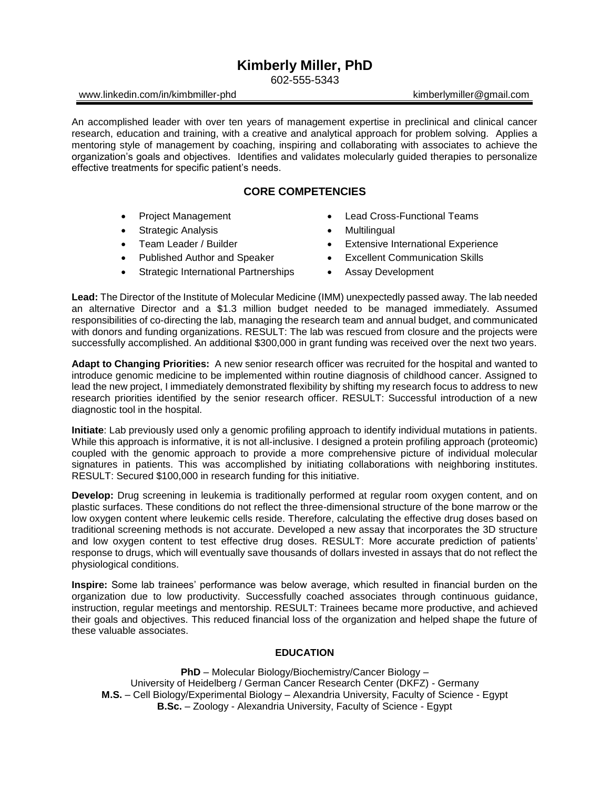# **Kimberly Miller, PhD**

602-555-5343

## www.linkedin.com/in/kimbmiller-phd kimberlymiller@gmail.com

An accomplished leader with over ten years of management expertise in preclinical and clinical cancer research, education and training, with a creative and analytical approach for problem solving. Applies a mentoring style of management by coaching, inspiring and collaborating with associates to achieve the organization's goals and objectives. Identifies and validates molecularly guided therapies to personalize effective treatments for specific patient's needs.

# **CORE COMPETENCIES**

- Project Management
- Strategic Analysis
- Team Leader / Builder
- Published Author and Speaker
- Strategic International Partnerships
- Lead Cross-Functional Teams
- **Multilingual**
- Extensive International Experience
- Excellent Communication Skills
- Assay Development

**Lead:** The Director of the Institute of Molecular Medicine (IMM) unexpectedly passed away. The lab needed an alternative Director and a \$1.3 million budget needed to be managed immediately. Assumed responsibilities of co-directing the lab, managing the research team and annual budget, and communicated with donors and funding organizations. RESULT: The lab was rescued from closure and the projects were successfully accomplished. An additional \$300,000 in grant funding was received over the next two years.

**Adapt to Changing Priorities:** A new senior research officer was recruited for the hospital and wanted to introduce genomic medicine to be implemented within routine diagnosis of childhood cancer. Assigned to lead the new project, I immediately demonstrated flexibility by shifting my research focus to address to new research priorities identified by the senior research officer. RESULT: Successful introduction of a new diagnostic tool in the hospital.

**Initiate**: Lab previously used only a genomic profiling approach to identify individual mutations in patients. While this approach is informative, it is not all-inclusive. I designed a protein profiling approach (proteomic) coupled with the genomic approach to provide a more comprehensive picture of individual molecular signatures in patients. This was accomplished by initiating collaborations with neighboring institutes. RESULT: Secured \$100,000 in research funding for this initiative.

**Develop:** Drug screening in leukemia is traditionally performed at regular room oxygen content, and on plastic surfaces. These conditions do not reflect the three-dimensional structure of the bone marrow or the low oxygen content where leukemic cells reside. Therefore, calculating the effective drug doses based on traditional screening methods is not accurate. Developed a new assay that incorporates the 3D structure and low oxygen content to test effective drug doses. RESULT: More accurate prediction of patients' response to drugs, which will eventually save thousands of dollars invested in assays that do not reflect the physiological conditions.

**Inspire:** Some lab trainees' performance was below average, which resulted in financial burden on the organization due to low productivity. Successfully coached associates through continuous guidance, instruction, regular meetings and mentorship. RESULT: Trainees became more productive, and achieved their goals and objectives. This reduced financial loss of the organization and helped shape the future of these valuable associates.

## **EDUCATION**

**PhD** – Molecular Biology/Biochemistry/Cancer Biology – University of Heidelberg / German Cancer Research Center (DKFZ) - Germany **M.S.** – Cell Biology/Experimental Biology – Alexandria University, Faculty of Science - Egypt **B.Sc.** – Zoology - Alexandria University, Faculty of Science - Egypt